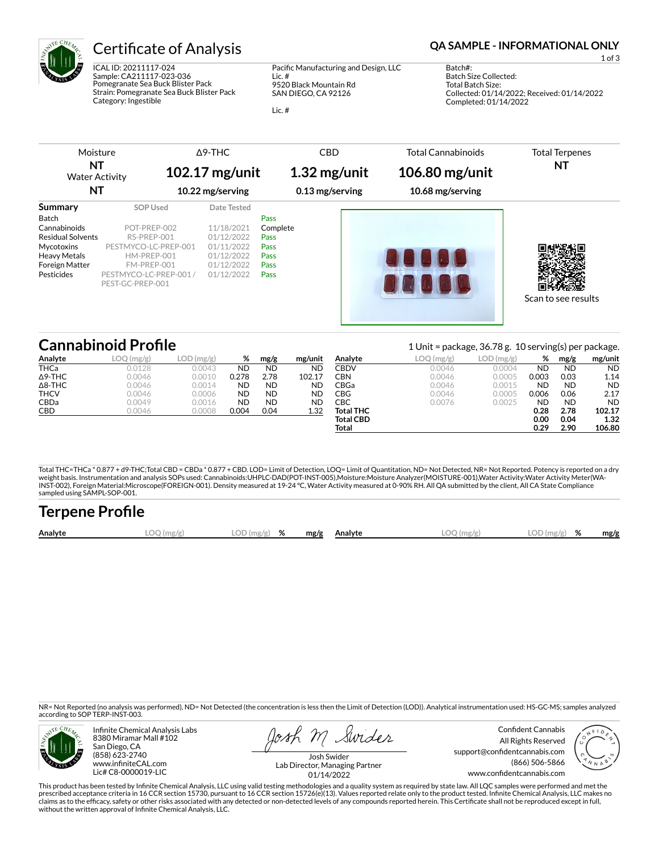

ICAL ID: 20211117-024 Sample: CA211117-023-036 Pomegranate Sea Buck Blister Pack Strain: Pomegranate Sea Buck Blister Pack Category: Ingestible

Pacific Manufacturing and Design, LLC

Lic. # 9520 Black Mountain Rd SAN DIEGO, CA 92126

Lic. #

## Certificate of Analysis **Certificate of Analysis QA SAMPLE - INFORMATIONAL ONLY**

1 of 3

Batch#: Batch Size Collected: Total Batch Size: Collected: 01/14/2022; Received: 01/14/2022 Completed: 01/14/2022

| Moisture<br>NT<br><b>Water Activity</b><br>NΤ                                                                                                   |                                                                                                                                                    | $\triangle$ 9-THC<br>102.17 mg/unit<br>10.22 mg/serving                                         | <b>CBD</b><br>$1.32$ mg/unit<br>0.13 mg/serving                 | <b>Total Cannabinoids</b><br>106.80 mg/unit<br>10.68 mg/serving | <b>Total Terpenes</b><br>NT |
|-------------------------------------------------------------------------------------------------------------------------------------------------|----------------------------------------------------------------------------------------------------------------------------------------------------|-------------------------------------------------------------------------------------------------|-----------------------------------------------------------------|-----------------------------------------------------------------|-----------------------------|
| Summary<br><b>Batch</b><br>Cannabinoids<br><b>Residual Solvents</b><br><b>Mycotoxins</b><br><b>Heavy Metals</b><br>Foreign Matter<br>Pesticides | <b>SOP Used</b><br>POT-PREP-002<br>RS-PREP-001<br>PESTMYCO-LC-PREP-001<br>HM-PREP-001<br>FM-PREP-001<br>PESTMYCO-LC-PREP-001 /<br>PEST-GC-PREP-001 | Date Tested<br>11/18/2021<br>01/12/2022<br>01/11/2022<br>01/12/2022<br>01/12/2022<br>01/12/2022 | <b>Pass</b><br>Complete<br>Pass<br>Pass<br>Pass<br>Pass<br>Pass | <b>210000</b>                                                   | Scan to see results         |

# **Cannabinoid Profile** 1 Unit = package, 36.78 g. 10 serving(s) per package.

|                |               |              |           |           |           |                  | $= 2.00$ passage, son $= 6$ , $= 0.00$ , nogle, per passage. |            |           |           |           |
|----------------|---------------|--------------|-----------|-----------|-----------|------------------|--------------------------------------------------------------|------------|-----------|-----------|-----------|
| Analyte        | .OO<br>(mg/g) | $LOD$ (mg/g) | %         | mg/g      | mg/unit   | Analyte          | LOQ (mg/g)                                                   | LOD (mg/g) | %         | mg/g      | mg/unit   |
| <b>THCa</b>    | 0.0128        | 0.0043       | <b>ND</b> | <b>ND</b> | <b>ND</b> | CBDV             | 0.0046                                                       | 0.0004     | <b>ND</b> | <b>ND</b> | <b>ND</b> |
| $\Delta$ 9-THC | 0.0046        | 0.0010       | 0.278     | 2.78      | 102.17    | CBN              | 0.0046                                                       | 0.0005     | 0.003     | 0.03      | 1.14      |
| $\Delta$ 8-THC | 0.0046        | 0.0014       | <b>ND</b> | ND        | <b>ND</b> | CBGa             | 0.0046                                                       | 0.0015     | <b>ND</b> | <b>ND</b> | <b>ND</b> |
| <b>THCV</b>    | 0.0046        | 0.0006       | <b>ND</b> | ND        | <b>ND</b> | CBG              | 0.0046                                                       | 0.0005     | 0.006     | 0.06      | 2.17      |
| <b>CBDa</b>    | 0.0049        | 0.0016       | <b>ND</b> | ND        | <b>ND</b> | СВС              | 0.0076                                                       | 0.0025     | <b>ND</b> | <b>ND</b> | <b>ND</b> |
| <b>CBD</b>     | 0.0046        | 0.0008       | 0.004     | 0.04      | 1.32      | <b>Total THC</b> |                                                              |            | 0.28      | 2.78      | 102.17    |
|                |               |              |           |           |           | <b>Total CBD</b> |                                                              |            | 0.00      | 0.04      | 1.32      |
|                |               |              |           |           |           | Total            |                                                              |            | 0.29      | 2.90      | 106.80    |

Total THC=THCa \* 0.877 + d9-THC;Total CBD = CBDa \* 0.877 + CBD. LOD= Limit of Detection, LOQ= Limit of Quantitation, ND= Not Detected, NR= Not Reported. Potency is reported on a dry<br>weight basis. Instrumentation and analys INST-002), Foreign Material:Microscope(FOREIGN-001). Density measured at 19-24 °C, Water Activity measured at 0-90% RH. All QA submitted by the client, All CA State Compliance sampled using SAMPL-SOP-001.

| <b>Terpene Profile</b> |           |           |   |      |         |            |                |      |
|------------------------|-----------|-----------|---|------|---------|------------|----------------|------|
| Analyte                | .00 (mg/g | LOD(mg/g) | % | mg/g | Analvte | LOO (mg/g) | LOD(mg/g)<br>% | mg/g |

NR= Not Reported (no analysis was performed), ND= Not Detected (the concentration is less then the Limit of Detection (LOD)). Analytical instrumentation used: HS-GC-MS; samples analyzed according to SOP TERP-INST-003.



Infinite Chemical Analysis Labs 8380 Miramar Mall #102 San Diego, CA (858) 623-2740 www.infiniteCAL.com Lic# C8-0000019-LIC

osh M Swider

Confident Cannabis All Rights Reserved support@confidentcannabis.com (866) 506-5866 www.confidentcannabis.com



Josh Swider Lab Director, Managing Partner 01/14/2022

This product has been tested by Infinite Chemical Analysis, LLC using valid testing methodologies and a quality system as required by state law. All LQC samples were performed and met the prescribed acceptance criteria in 16 CCR section 15730, pursuant to 16 CCR section 15726(e)(13). Values reported relate only to the product tested. Infinite Chemical Analysis, LLC makes no<br>claims as to the efficacy, safety without the written approval of Infinite Chemical Analysis, LLC.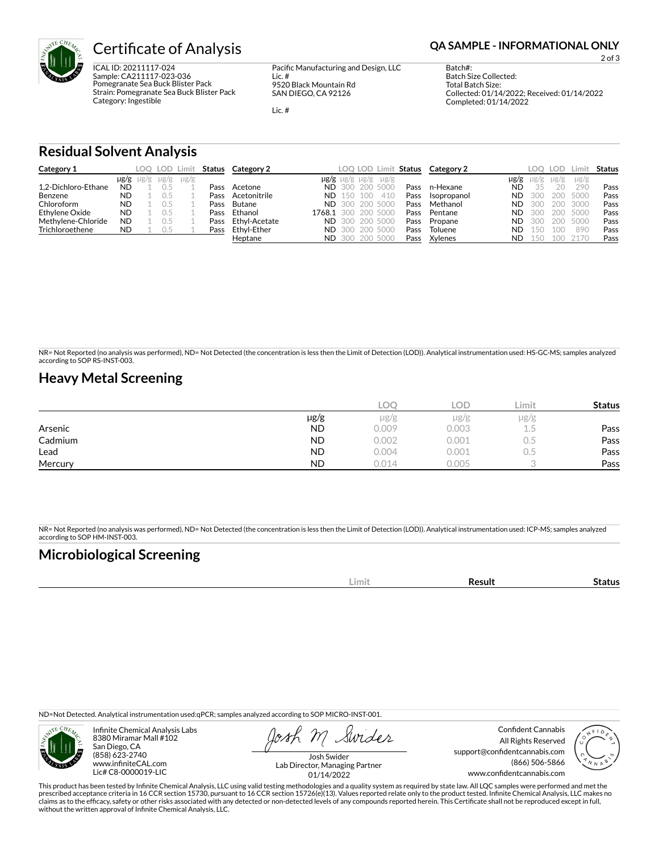

ICAL ID: 20211117-024 Sample: CA211117-023-036 Pomegranate Sea Buck Blister Pack Strain: Pomegranate Sea Buck Blister Pack Category: Ingestible

Pacific Manufacturing and Design, LLC

Lic. # 9520 Black Mountain Rd SAN DIEGO, CA 92126

Lic. #

2 of 3

Batch#: Batch Size Collected: Total Batch Size: Collected: 01/14/2022; Received: 01/14/2022 Completed: 01/14/2022

**Residual Solvent Analysis**

| Category 1          |           |                     |           | LOQ LOD Limit |      | Status Category 2 | LOQ LOD Limit Status                    |      | Category 2  |           | LOO.      | <b>LOD</b> |           | <b>Status</b> |
|---------------------|-----------|---------------------|-----------|---------------|------|-------------------|-----------------------------------------|------|-------------|-----------|-----------|------------|-----------|---------------|
|                     |           | $\mu$ g/g $\mu$ g/g | $\mu$ g/g | $\mu$ g/g     |      |                   | $\mu$ g/g $\mu$ g/g $\mu$ g/g $\mu$ g/g |      |             | µg/g      | $\mu$ g/g | $\mu$ g/g  | $\mu$ g/g |               |
| 1.2-Dichloro-Ethane | <b>ND</b> |                     |           |               | Pass | Acetone           | <b>ND</b> 300 200 5000                  | Pass | n-Hexane    | ND        | 35        | 20         | 290       | Pass          |
| Benzene             | <b>ND</b> |                     |           |               | Pass | Acetonitrile      | <b>ND</b> 150 100<br>410                | Pass | Isopropanol | ND.       | -300      | 200        | 5000      | Pass          |
| Chloroform          | <b>ND</b> |                     |           |               | Pass | Butane            | <b>ND</b> 300 200 5000                  | Pass | Methanol    | ND.       | -300      | 200        | 3000      | Pass          |
| Ethylene Oxide      | <b>ND</b> |                     |           |               | Pass | Ethanol           | 1768.1 300 200 5000                     | Pass | Pentane     | ND.       | -300      | 200        | 5000      | Pass          |
| Methylene-Chloride  | <b>ND</b> |                     |           |               | Pass | Ethyl-Acetate     | <b>ND</b> 300 200 5000                  | Pass | Propane     | ND.       | -300      | 200        | 5000      | Pass          |
| Trichloroethene     | <b>ND</b> |                     | 0.5       |               | Pass | Ethvl-Ether       | <b>ND</b> 300 200 5000                  | Pass | Toluene     | <b>ND</b> | 150       | 100        | 890       | Pass          |
|                     |           |                     |           |               |      | Heptane           | <b>ND</b> 300 200 5000                  | Pass | Xylenes     | ND.       | 150       | 100        | 2170      | Pass          |

NR= Not Reported (no analysis was performed), ND= Not Detected (the concentration is less then the Limit of Detection (LOD)). Analytical instrumentation used: HS-GC-MS; samples analyzed according to SOP RS-INST-003.

## **Heavy Metal Screening**

|         |           | LOC   | LOD.  | Limit | <b>Status</b> |
|---------|-----------|-------|-------|-------|---------------|
|         | $\mu$ g/g | µg/g  | µg/g  | µg/g  |               |
| Arsenic | <b>ND</b> | 0.009 | 0.003 | L.5   | Pass          |
| Cadmium | <b>ND</b> | 0.002 | 0.001 | U.5   | Pass          |
| Lead    | <b>ND</b> | 0.004 | 0.001 | U.5   | Pass          |
| Mercury | <b>ND</b> | 0.014 | 0.005 |       | Pass          |

NR= Not Reported (no analysis was performed), ND= Not Detected (the concentration is less then the Limit of Detection (LOD)). Analytical instrumentation used: ICP-MS; samples analyzed according to SOP HM-INST-003.

## **Microbiological Screening**

| ----- |  |
|-------|--|
|       |  |

ND=Not Detected. Analytical instrumentation used:qPCR; samples analyzed according to SOP MICRO-INST-001.



Infinite Chemical Analysis Labs 8380 Miramar Mall #102 San Diego, CA (858) 623-2740 www.infiniteCAL.com Lic# C8-0000019-LIC

Swider

Confident Cannabis All Rights Reserved support@confidentcannabis.com (866) 506-5866 www.confidentcannabis.com



Josh Swider Lab Director, Managing Partner 01/14/2022

This product has been tested by Infinite Chemical Analysis, LLC using valid testing methodologies and a quality system as required by state law. All LQC samples were performed and met the prescribed acceptance criteria in 16 CCR section 15730, pursuant to 16 CCR section 15726(e)(13). Values reported relate only to the product tested. Infinite Chemical Analysis, LLC makes no<br>claims as to the efficacy, safety without the written approval of Infinite Chemical Analysis, LLC.